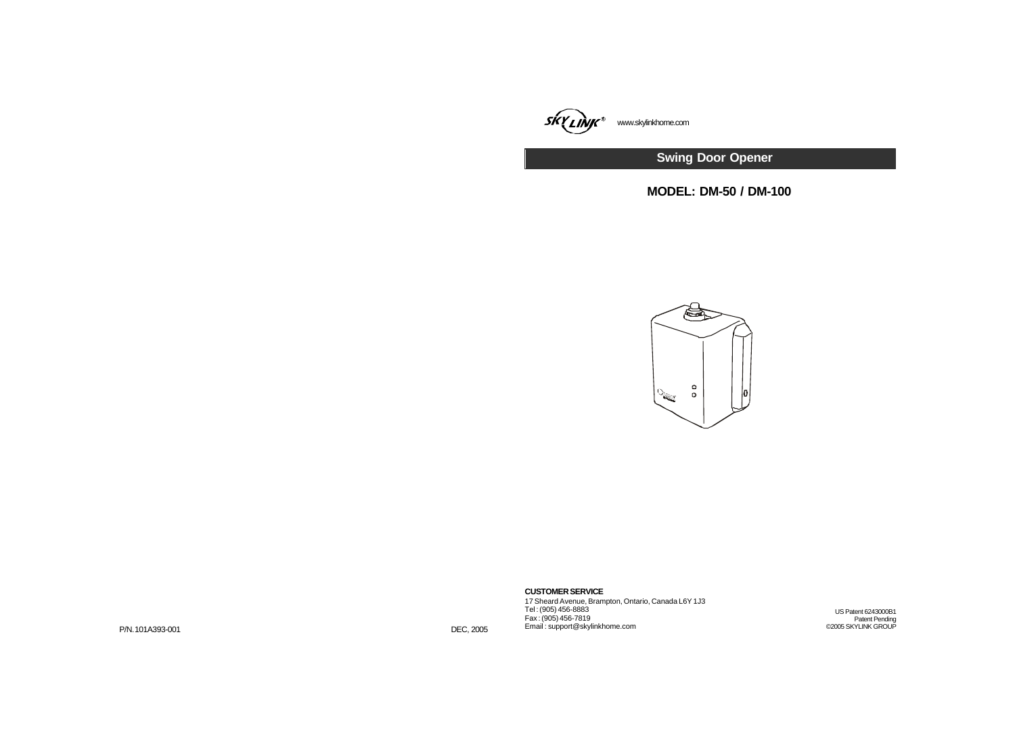

**Swing Door Opener**

**MODEL: DM-50 / DM-100**



**CUSTOMER SERVICE**

17 Sheard Avenue, Brampton, Ontario, Canada L6Y 1J3 Tel : (905) 456-8883 Fax : (905) 456-7819 Email : support@skylinkhome.com

US Patent 6243000B1 Patent Pending ©2005 SKYLINK GROUP

P/N.101A393-001 DEC, 2005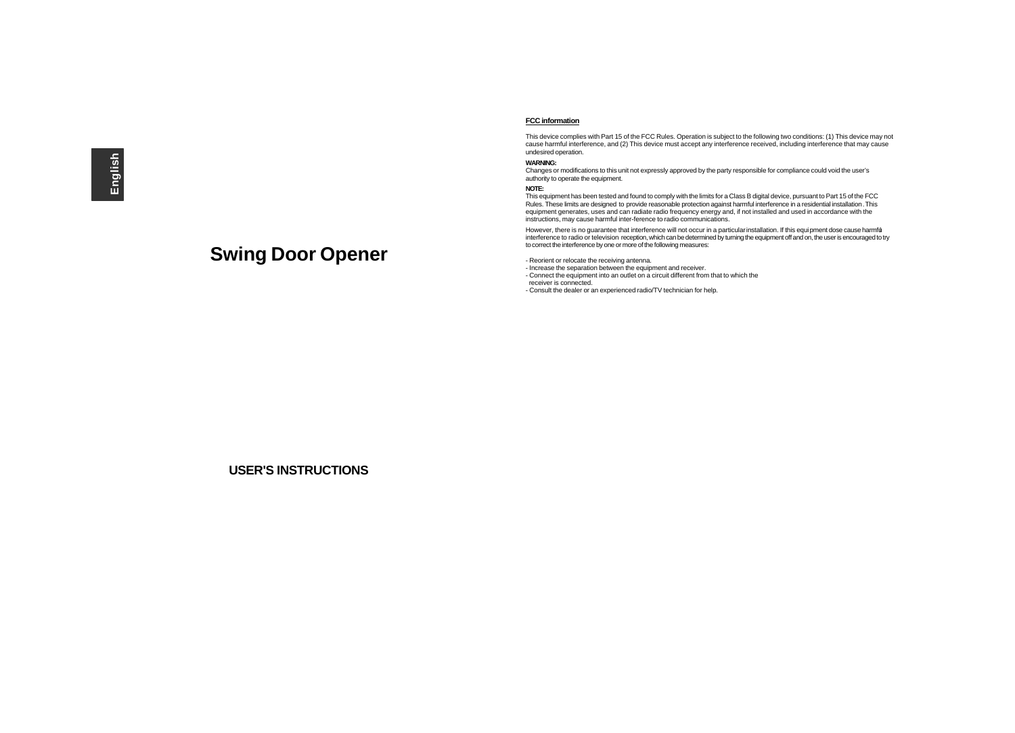# **Swing Door Opener**

### **FCC information**

This device complies with Part 15 of the FCC Rules. Operation is subject to the following two conditions: (1) This device may not cause harmful interference, and (2) This device must accept any interference received, including interference that may cause undesired operation.

#### **WARNING:**

Changes or modifications to this unit not expressly approved by the party responsible for compliance could void the user's authority to operate the equipment.

#### **NOTE:**

This equipment has been tested and found to comply with the limits for a Class B digital device, pursuant to Part 15 of the FCC Rules. These limits are designed to provide reasonable protection against harmful interference in a residential installation. This equipment generates, uses and can radiate radio frequency energy and, if not installed and used in accordance with the instructions, may cause harmful inter-ference to radio communications.

However, there is no guarantee that interference will not occur in a particular installation. If this equipment dose cause harmful interference to radio or television reception, which can be determined by turning the equipment off and on, the user is encouraged to try to correct the interference by one or more of the following measures:

- Reorient or relocate the receiving antenna.

- Increase the separation between the equipment and receiver.

- Connect the equipment into an outlet on a circuit different from that to which the

 receiver is connected. - Consult the dealer or an experienced radio/TV technician for help.

**USER'S INSTRUCTIONS**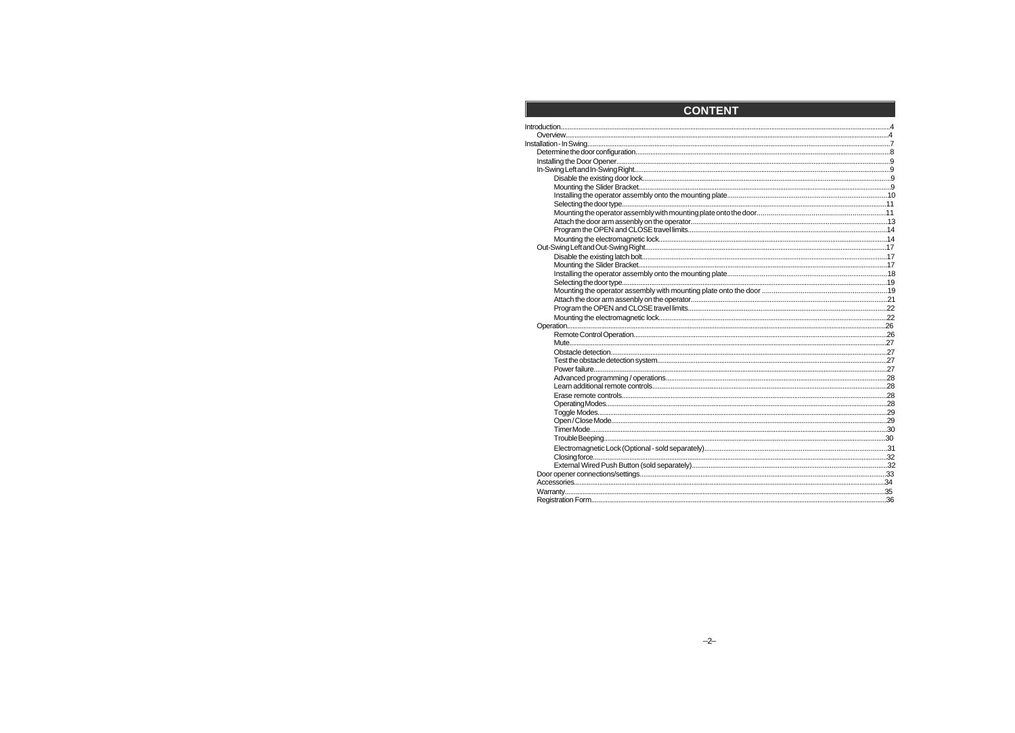| <b>CONTENT</b> |  |
|----------------|--|
|                |  |
|                |  |
|                |  |
|                |  |
|                |  |
|                |  |
|                |  |
|                |  |
|                |  |
|                |  |
|                |  |
|                |  |
|                |  |
|                |  |
|                |  |
|                |  |
|                |  |
|                |  |
|                |  |
|                |  |
|                |  |
|                |  |
|                |  |
|                |  |
|                |  |
|                |  |
|                |  |
|                |  |
|                |  |
|                |  |
|                |  |
|                |  |
|                |  |
|                |  |
|                |  |
|                |  |
|                |  |
|                |  |
|                |  |
|                |  |
|                |  |
|                |  |
|                |  |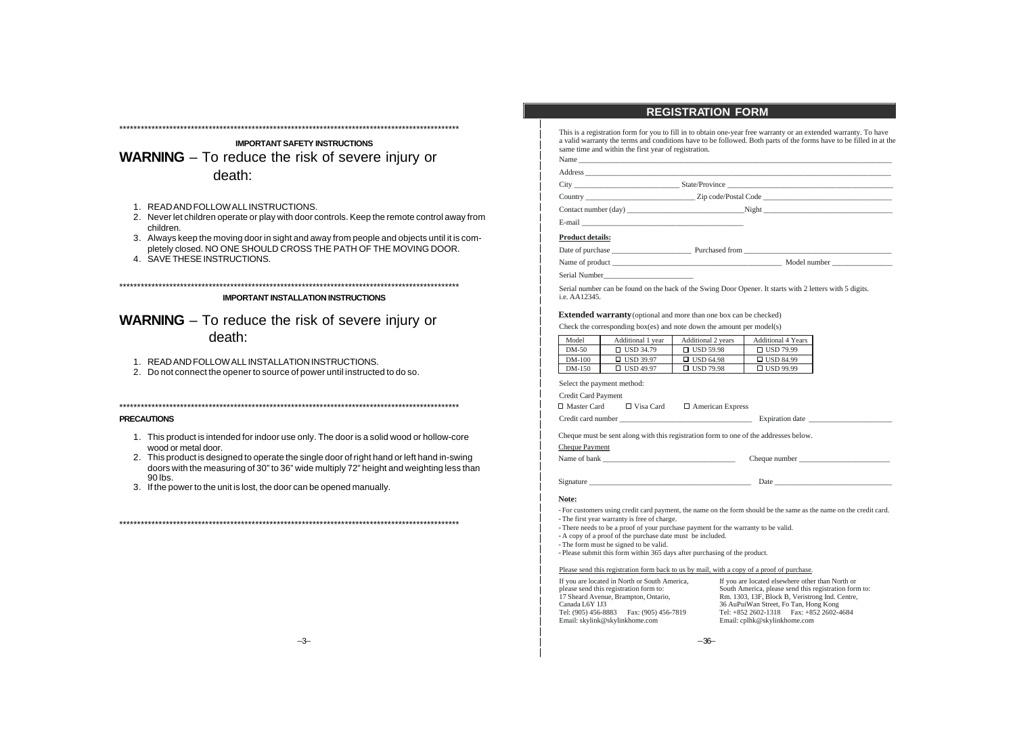# **IMPORTANT SAFETY INSTRUCTIONS WARNING** – To reduce the risk of severe injury or death:

\*\*\*\*\*\*\*\*\*\*\*\*\*\*\*\*\*\*\*\*\*\*\*\*\*\*\*\*\*\*\*\*\*\*\*\*\*\*\*\*\*\*\*\*\*\*\*\*\*\*\*\*\*\*\*\*\*\*\*\*\*\*\*\*\*\*\*\*\*\*\*\*\*\*\*\*\*\*\*\*\*\*\*\*\*\*\*\*\*\*\*\*\*\*\*

- 1. READ AND FOLLOW ALL INSTRUCTIONS.
- 2. Never let children operate or play with door controls. Keep the remote control away from children.
- 3. Always keep the moving door in sight and away from people and objects until it is completely closed. NO ONE SHOULD CROSS THE PATH OF THE MOVING DOOR.
- 4. SAVE THESE INSTRUCTIONS.

**IMPORTANT INSTALLATION INSTRUCTIONS**

\*\*\*\*\*\*\*\*\*\*\*\*\*\*\*\*\*\*\*\*\*\*\*\*\*\*\*\*\*\*\*\*\*\*\*\*\*\*\*\*\*\*\*\*\*\*\*\*\*\*\*\*\*\*\*\*\*\*\*\*\*\*\*\*\*\*\*\*\*\*\*\*\*\*\*\*\*\*\*\*\*\*\*\*\*\*\*\*\*\*\*\*\*\*\*

**WARNING** – To reduce the risk of severe injury or death:

- 1. READ AND FOLLOW ALL INSTALLATION INSTRUCTIONS.
- 2. Do not connect the opener to source of power until instructed to do so.

\*\*\*\*\*\*\*\*\*\*\*\*\*\*\*\*\*\*\*\*\*\*\*\*\*\*\*\*\*\*\*\*\*\*\*\*\*\*\*\*\*\*\*\*\*\*\*\*\*\*\*\*\*\*\*\*\*\*\*\*\*\*\*\*\*\*\*\*\*\*\*\*\*\*\*\*\*\*\*\*\*\*\*\*\*\*\*\*\*\*\*\*\*\*\*

\*\*\*\*\*\*\*\*\*\*\*\*\*\*\*\*\*\*\*\*\*\*\*\*\*\*\*\*\*\*\*\*\*\*\*\*\*\*\*\*\*\*\*\*\*\*\*\*\*\*\*\*\*\*\*\*\*\*\*\*\*\*\*\*\*\*\*\*\*\*\*\*\*\*\*\*\*\*\*\*\*\*\*\*\*\*\*\*\*\*\*\*\*\*\*

### **PRECAUTIONS**

- 1. This product is intended for indoor use only. The door is a solid wood or hollow-core wood or metal door.
- 2. This product is designed to operate the single door of right hand or left hand in-swing doors with the measuring of 30" to 36" wide multiply 72" height and weighting less than 90 lbs.
- 3. If the power to the unit is lost, the door can be opened manually.

# **REGISTRATION FORM**

This is a registration form for you to fill in to obtain one-year free warranty or an extended warranty. To have a valid warranty the terms and conditions have to be followed. Both parts of the forms have to be filled in at the same time and within the first year of registration.

| Name                                                        |                                                                                                                       |  |
|-------------------------------------------------------------|-----------------------------------------------------------------------------------------------------------------------|--|
| Address                                                     | <u> 1989 - Johann Stoff, deutscher Stoff, der Stoff, der Stoff, der Stoff, der Stoff, der Stoff, der Stoff, der S</u> |  |
| the control of the control of the control of the control of | State/Province<br><u> 2000 - Jan Barnett, fransk politiker (d. 1982)</u>                                              |  |
| Country                                                     | Zip code/Postal Code                                                                                                  |  |
| Contact number (day)                                        | Night                                                                                                                 |  |

E-mail

### **Product details:**

Date of purchase **Let up a vertex** Purchased from  $\blacksquare$ 

| Name of product | Model number |
|-----------------|--------------|
|                 |              |

Serial Number\_\_\_\_\_\_\_\_\_\_\_\_\_\_\_\_\_\_\_\_\_\_\_\_

Serial number can be found on the back of the Swing Door Opener. It starts with 2 letters with 5 digits. i.e. AA12345.

### **Extended warranty** (optional and more than one box can be checked)

Check the corresponding box(es) and note down the amount per model(s)

| Model    | Additional 1 year | Additional 2 years | Additional 4 Years |
|----------|-------------------|--------------------|--------------------|
| DM-50    | $\Box$ USD 34.79  | $\Box$ USD 59.98   | $\Box$ USD 79.99   |
| $DM-100$ | $\Box$ USD 39.97  | $\Box$ USD 64.98   | $\Box$ USD 84.99   |
| $DM-150$ | $\Box$ USD 49.97  | $\Box$ USD 79.98   | $\Box$ USD 99.99   |

Select the payment method:

Credit Card Payment

 $\square$  Master Card  $\square$  Visa Card  $\square$  American Express

Credit card number \_\_\_\_\_\_\_\_\_\_\_\_\_\_\_\_\_\_\_\_\_\_\_\_\_\_\_\_\_\_\_\_\_\_\_ Expiration date \_\_\_\_\_\_\_\_\_\_\_\_\_\_\_\_\_\_\_\_\_\_

Cheque must be sent along with this registration form to one of the addresses below.

## Cheque Payment

Name of bank \_\_\_\_\_\_\_\_\_\_\_\_\_\_\_\_\_\_\_\_\_\_\_\_\_\_\_\_\_\_\_\_\_\_\_ Cheque number \_\_\_\_\_\_\_\_\_\_\_\_\_\_\_\_\_\_\_\_\_\_\_\_

Signature \_\_\_\_\_\_\_\_\_\_\_\_\_\_\_\_\_\_\_\_\_\_\_\_\_\_\_\_\_\_\_\_\_\_\_\_\_\_\_\_\_\_\_ Date \_\_\_\_\_\_\_\_\_\_\_\_\_\_\_\_\_\_\_\_\_\_\_\_\_\_\_\_\_\_\_

#### **Note:**

- For customers using credit card payment, the name on the form should be the same as the name on the credit card.

- The first year warranty is free of charge.

- There needs to be a proof of your purchase payment for the warranty to be valid.

- A copy of a proof of the purchase date must be included.

- The form must be signed to be valid.

- Please submit this form within 365 days after purchasing of the product.

### Please send this registration form back to us by mail, with a copy of a proof of purchase.

If you are located in North or South America, please send this registration form to: 17 Sheard Avenue, Brampton, Ontario, Canada L6Y 1J3 Tel: (905) 456-8883 Fax: (905) 456-7819 Email: skylink@skylinkhome.com

If you are located elsewhere other than North or South America, please send this registration form to: Rm. 1303, 13F, Block B, Veristrong Ind. Centre, 36 AuPuiWan Street, Fo Tan, Hong Kong Tel: +852 2602-1318 Fax: +852 2602-4684 Email: cplhk@skylinkhome.com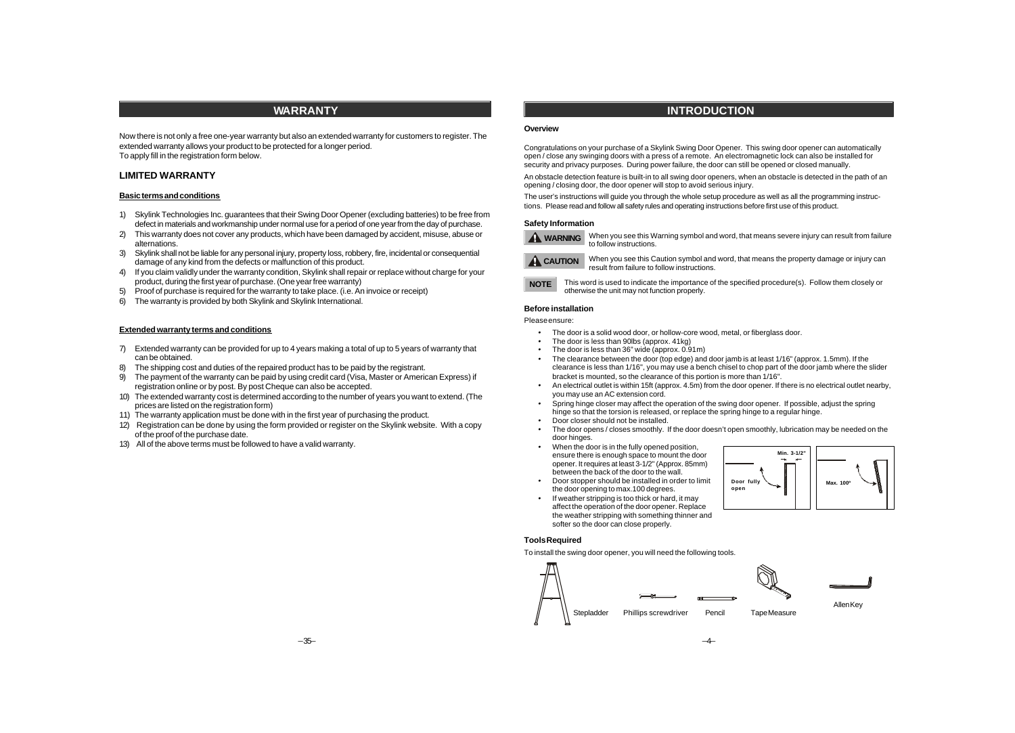# **WARRANTY**

Now there is not only a free one-year warranty but also an extended warranty for customers to register. The extended warranty allows your product to be protected for a longer period. To apply fill in the registration form below.

### **LIMITED WARRANTY**

#### **Basic terms and conditions**

- 1) Skylink Technologies Inc. guarantees that their Swing Door Opener (excluding batteries) to be free from defect in materials and workmanship under normal use for a period of one year from the day of purchase.
- 2) This warranty does not cover any products, which have been damaged by accident, misuse, abuse or alternations.
- 3) Skylink shall not be liable for any personal injury, property loss, robbery, fire, incidental or consequential damage of any kind from the defects or malfunction of this product.
- 4) If you claim validly under the warranty condition, Skylink shall repair or replace without charge for your product, during the first year of purchase. (One year free warranty)
- 5) Proof of purchase is required for the warranty to take place. (i.e. An invoice or receipt)
- 6) The warranty is provided by both Skylink and Skylink International.

#### **Extended warranty terms and conditions**

- 7) Extended warranty can be provided for up to 4 years making a total of up to 5 years of warranty that can be obtained.
- 8) The shipping cost and duties of the repaired product has to be paid by the registrant.
- 9) The payment of the warranty can be paid by using credit card (Visa, Master or American Express) if registration online or by post. By post Cheque can also be accepted.
- 10) The extended warranty cost is determined according to the number of years you want to extend. (The prices are listed on the registration form)
- 11) The warranty application must be done with in the first year of purchasing the product.
- 12) Registration can be done by using the form provided or register on the Skylink website. With a copy of the proof of the purchase date.
- 13) All of the above terms must be followed to have a valid warranty.

# **INTRODUCTION**

### **Overview**

Congratulations on your purchase of a Skylink Swing Door Opener. This swing door opener can automatically open / close any swinging doors with a press of a remote. An electromagnetic lock can also be installed for security and privacy purposes. During power failure, the door can still be opened or closed manually.

An obstacle detection feature is built-in to all swing door openers, when an obstacle is detected in the path of an opening / closing door, the door opener will stop to avoid serious injury.

The user's instructions will guide you through the whole setup procedure as well as all the programming instructions. Please read and follow all safety rules and operating instructions before first use of this product.

### **Safety Information**



When you see this Warning symbol and word, that means severe injury can result from failure **WARNING** to follow instructions.



When you see this Caution symbol and word, that means the property damage or injury can result from failure to follow instructions.

This word is used to indicate the importance of the specified procedure(s). Follow them closely or otherwise the unit may not function properly. **NOTE**

# **Before installation**

### Please ensure:

- · The door is a solid wood door, or hollow-core wood, metal, or fiberglass door.
- · The door is less than 90lbs (approx. 41kg)
- The door is less than  $36"$  wide (approx.  $0.91$ m)
- The clearance between the door (top edge) and door jamb is at least 1/16" (approx. 1.5mm). If the clearance is less than 1/16", you may use a bench chisel to chop part of the door jamb where the slider bracket is mounted, so the clearance of this portion is more than 1/16".
- · An electrical outlet is within 15ft (approx. 4.5m) from the door opener. If there is no electrical outlet nearby, you may use an AC extension cord.
- · Spring hinge closer may affect the operation of the swing door opener. If possible, adjust the spring hinge so that the torsion is released, or replace the spring hinge to a regular hinge.
- · Door closer should not be installed.
- The door opens / closes smoothly. If the door doesn't open smoothly, lubrication may be needed on the door hinges.
- When the door is in the fully opened position, ensure there is enough space to mount the door opener. It requires at least 3-1/2" (Approx. 85mm) between the back of the door to the wall.
- · Door stopper should be installed in order to limit the door opening to max.100 degrees.
- If weather stripping is too thick or hard, it may affect the operation of the door opener. Replace the weather stripping with something thinner and softer so the door can close properly.



**Tools Required**

To install the swing door opener, you will need the following tools.

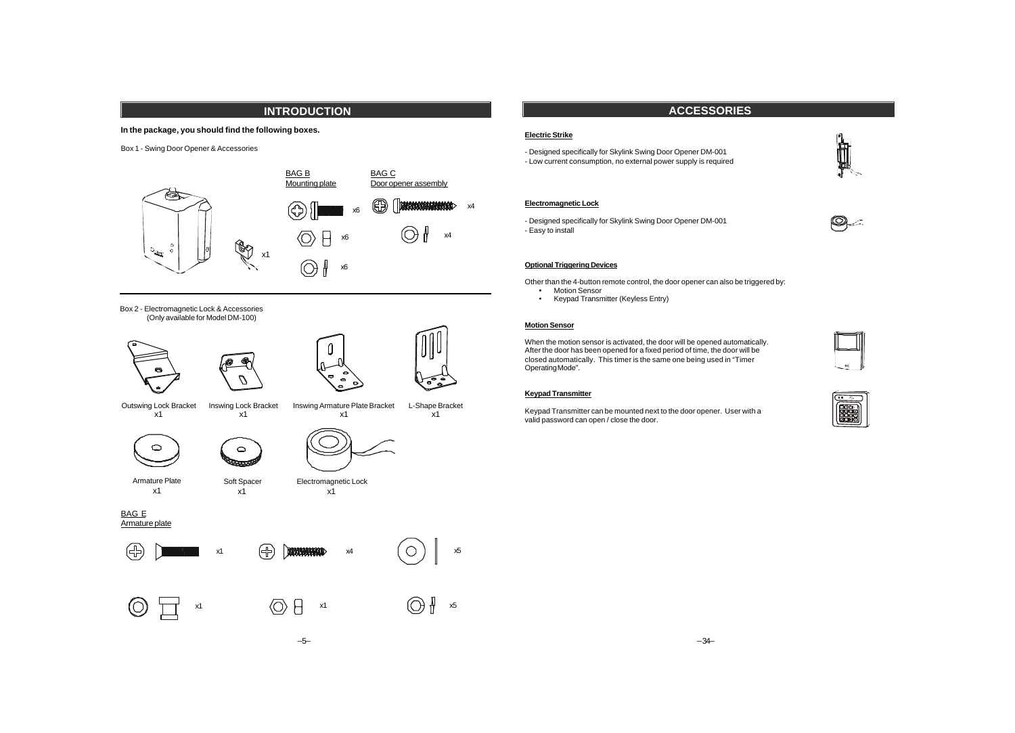# **INTRODUCTION**

## **In the package, you should find the following boxes.**

Box 1 - Swing Door Opener & Accessories



Box 2 - Electromagnetic Lock & Accessories (Only available for Model DM-100)





Outswing Lock Bracket x1 Inswing Lock Bracket

x1





Armature Plate x1

Soft Spacer x1

 $\circ$ **Recent** 

BAG E Armature plate





Inswing Armature Plate Bracket

x1

L-Shape Bracket x1

Electromagnetic Lock x1

–5–



# **ACCESSORIES**

# **Electric Strike**

- Designed specifically for Skylink Swing Door Opener DM-001 - Low current consumption, no external power supply is required

# **Electromagnetic Lock**

- Designed specifically for Skylink Swing Door Opener DM-001 - Easy to install



Other than the 4-button remote control, the door opener can also be triggered by:

- · Motion Sensor
- · Keypad Transmitter (Keyless Entry)

## **Motion Sensor**

When the motion sensor is activated, the door will be opened automatically. After the door has been opened for a fixed period of time, the door will be closed automatically. This timer is the same one being used in "Timer Operating Mode".

## **Keypad Transmitter**

Keypad Transmitter can be mounted next to the door opener. User with a valid password can open / close the door.



fil

 $\bigcirc$ 

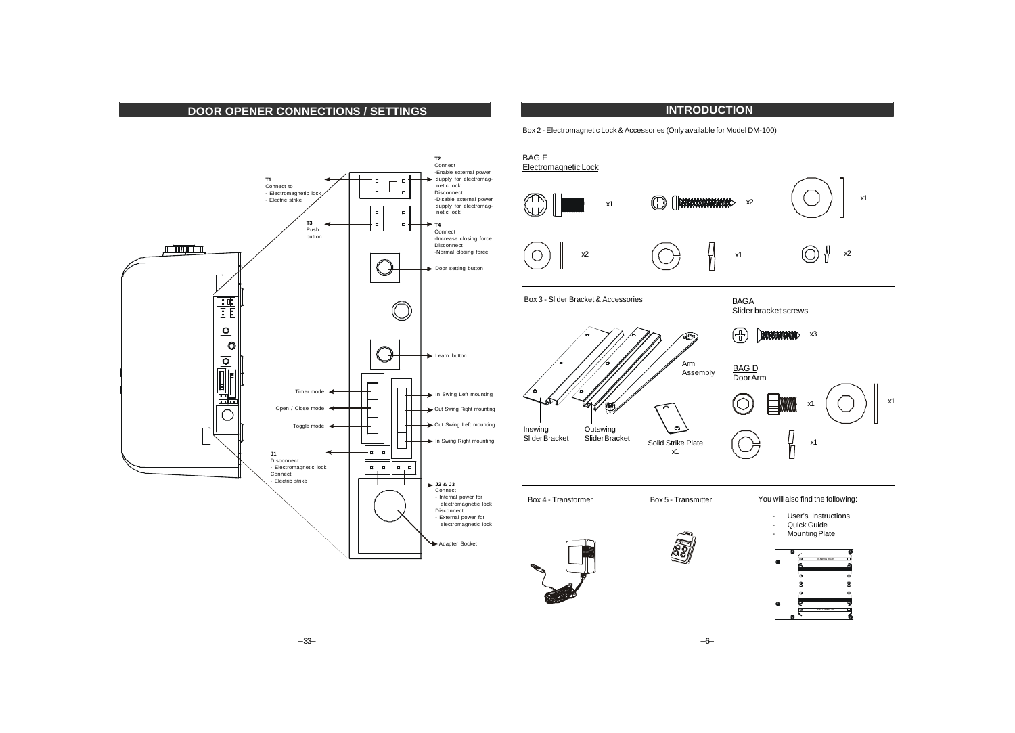# **DOOR OPENER CONNECTIONS / SETTINGS**





Box 2 - Electromagnetic Lock & Accessories (Only available for Model DM-100)



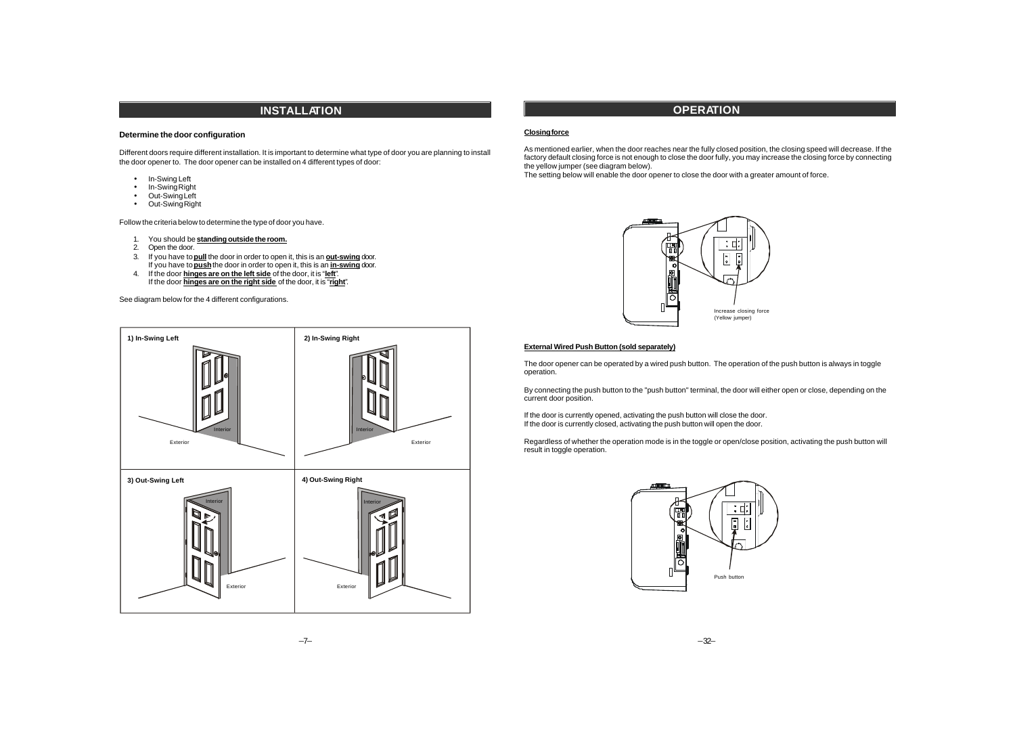# **INSTALLATION**

### **Determine the door configuration**

Different doors require different installation. It is important to determine what type of door you are planning to install the door opener to. The door opener can be installed on 4 different types of door:

- In-Swing Left
- In-Swing Right
- Out-Swing Left
- Out-Swing Right

Follow the criteria below to determine the type of door you have.

- 1. You should be **standing outside the room.**
- 2. Open the door.
- 3. If you have to **pull** the door in order to open it, this is an **out-swing** door. If you have to **push** the door in order to open it, this is an **in-swing** door.
- 4. If the door **hinges are on the left side** of the door, it is "**left**". If the door **hinges are on the right side** of the door, it is "**right**".

See diagram below for the 4 different configurations.



# **OPERATION**

### **Closing force**

As mentioned earlier, when the door reaches near the fully closed position, the closing speed will decrease. If the factory default closing force is not enough to close the door fully, you may increase the closing force by connecting the yellow jumper (see diagram below).

The setting below will enable the door opener to close the door with a greater amount of force.



#### **External Wired Push Button (sold separately)**

The door opener can be operated by a wired push button. The operation of the push button is always in toggle operation.

By connecting the push button to the "push button" terminal, the door will either open or close, depending on the current door position.

If the door is currently opened, activating the push button will close the door. If the door is currently closed, activating the push button will open the door.

Regardless of whether the operation mode is in the toggle or open/close position, activating the push button will result in toggle operation.

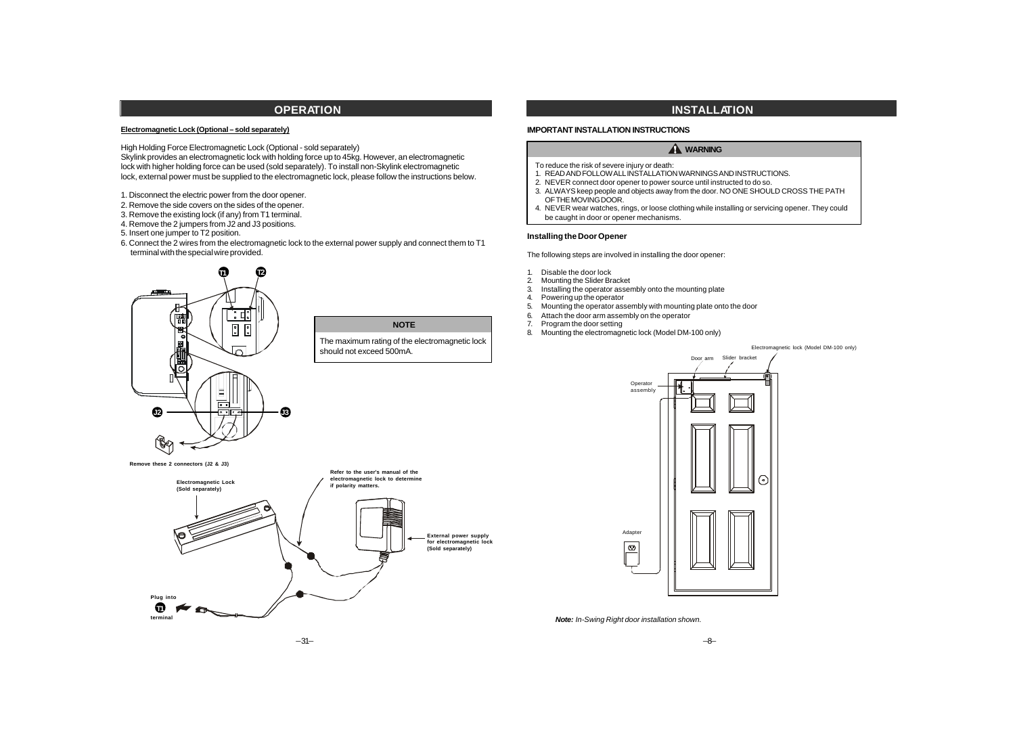# **OPERATION**

### **Electromagnetic Lock (Optional – sold separately)**

High Holding Force Electromagnetic Lock (Optional - sold separately) Skylink provides an electromagnetic lock with holding force up to 45kg. However, an electromagnetic lock with higher holding force can be used (sold separately). To install non-Skylink electromagnetic lock, external power must be supplied to the electromagnetic lock, please follow the instructions below.

- 1. Disconnect the electric power from the door opener.
- 2. Remove the side covers on the sides of the opener.
- 3. Remove the existing lock (if any) from T1 terminal.
- 4. Remove the 2 jumpers from J2 and J3 positions.

5. Insert one jumper to T2 position.

6. Connect the 2 wires from the electromagnetic lock to the external power supply and connect them to T1 terminal with the special wire provided.

**NOTE**

# **T1 T2** ा प 鬧  $\boxed{2}$ The maximum rating of the electromagnetic lock should not exceed 500mA. Е ल्ल **J2 J3**(R **Remove these 2 connectors (J2 & J3)**



# **INSTALLATION**

## **IMPORTANT INSTALLATION INSTRUCTIONS**

### **A** WARNING

- To reduce the risk of severe injury or death:
- 1. READ AND FOLLOW ALL INSTALLATION WARNINGS AND INSTRUCTIONS.
- 2. NEVER connect door opener to power source until instructed to do so.
- 3. ALWAYS keep people and objects away from the door. NO ONE SHOULD CROSS THE PATH OF THE MOVING DOOR.
- 4. NEVER wear watches, rings, or loose clothing while installing or servicing opener. They could be caught in door or opener mechanisms.

#### **Installing the Door Opener**

The following steps are involved in installing the door opener:

- 1. Disable the door lock
- 2. Mounting the Slider Bracket
- 3. Installing the operator assembly onto the mounting plate<br>4. Powering up the operator
- Powering up the operator
- 5. Mounting the operator assembly with mounting plate onto the door
- 6. Attach the door arm assembly on the operator
- 7. Program the door setting
- 8. Mounting the electromagnetic lock (Model DM-100 only)

#### Electromagnetic lock (Model DM-100 only)



*Note: In-Swing Right door installation shown.*

 $\boxed{\bm{\bm{\omega}}}$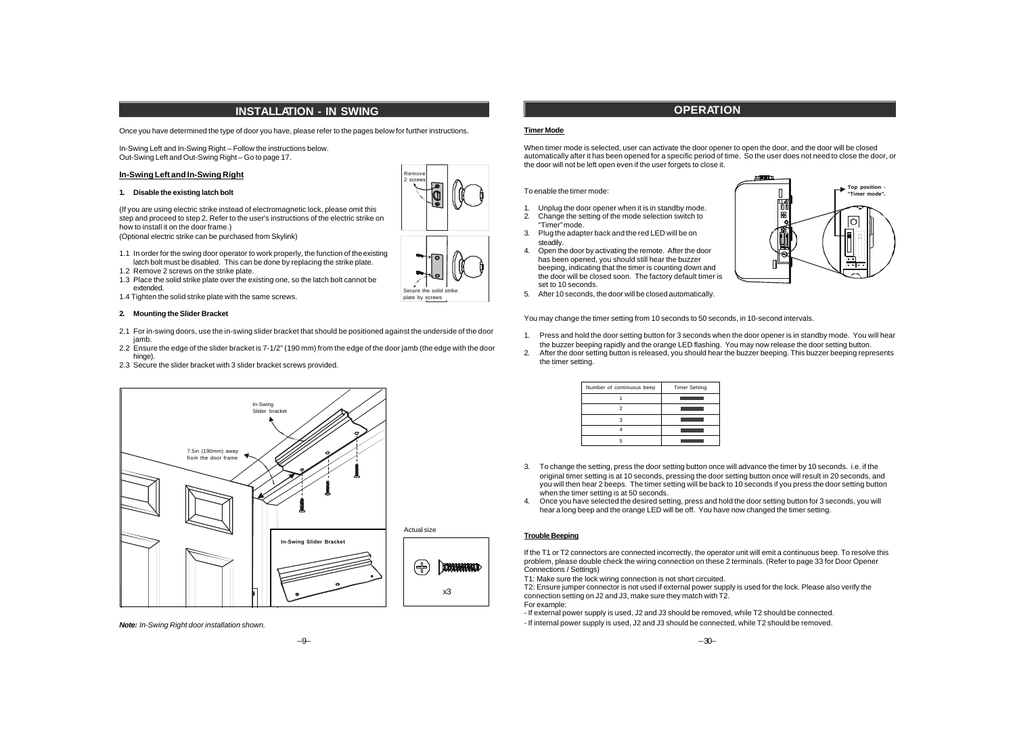# **INSTALLATION - IN SWING**

Once you have determined the type of door you have, please refer to the pages below for further instructions.

In-Swing Left and In-Swing Right – Follow the instructions below. Out-Swing Left and Out-Swing Right – Go to page 17.

#### **In-Swing Left and In-Swing Right**

#### **1. Disable the existing latch bolt**

(If you are using electric strike instead of electromagnetic lock, please omit this step and proceed to step 2. Refer to the user's instructions of the electric strike on how to install it on the door frame.)

(Optional electric strike can be purchased from Skylink)

- 1.1 In order for the swing door operator to work properly, the function of the existing latch bolt must be disabled. This can be done by replacing the strike plate.
- 1.2 Remove 2 screws on the strike plate. 1.3 Place the solid strike plate over the existing one, so the latch bolt cannot be
- extended.
- 1.4 Tighten the solid strike plate with the same screws.

#### **2. Mounting the Slider Bracket**

2.1 For in-swing doors, use the in-swing slider bracket that should be positioned against the underside of the door jamb.

Secure the solid strike plate by screws

Remove 2 screws

- 2.2 Ensure the edge of the slider bracket is 7-1/2" (190 mm) from the edge of the door jamb (the edge with the door hinge).
- 2.3 Secure the slider bracket with 3 slider bracket screws provided.



*Note: In-Swing Right door installation shown.*



### **Timer Mode**

When timer mode is selected, user can activate the door opener to open the door, and the door will be closed automatically after it has been opened for a specific period of time. So the user does not need to close the door, or the door will not be left open even if the user forgets to close it.

#### To enable the timer mode:

- 1. Unplug the door opener when it is in standby mode. 2. Change the setting of the mode selection switch to
- "Timer" mode. 3. Plug the adapter back and the red LED will be on steadily.
- 4. Open the door by activating the remote. After the door has been opened, you should still hear the buzzer beeping, indicating that the timer is counting down and the door will be closed soon. The factory default timer is set to 10 seconds.
- 5. After 10 seconds, the door will be closed automatically.



You may change the timer setting from 10 seconds to 50 seconds, in 10-second intervals.

- 1. Press and hold the door setting button for 3 seconds when the door opener is in standby mode. You will hear the buzzer beeping rapidly and the orange LED flashing. You may now release the door setting button.
- 2. After the door setting button is released, you should hear the buzzer beeping. This buzzer beeping represents the timer setting.

| Number of continuous beep | <b>Timer Setting</b> |
|---------------------------|----------------------|
|                           |                      |
|                           |                      |
|                           |                      |
|                           |                      |
|                           |                      |

- 3. To change the setting, press the door setting button once will advance the timer by 10 seconds. i.e. if the original timer setting is at 10 seconds, pressing the door setting button once will result in 20 seconds, and you will then hear 2 beeps. The timer setting will be back to 10 seconds if you press the door setting button when the timer setting is at 50 seconds.
- 4. Once you have selected the desired setting, press and hold the door setting button for 3 seconds, you will hear a long beep and the orange LED will be off. You have now changed the timer setting.

# **Trouble Beeping**

If the T1 or T2 connectors are connected incorrectly, the operator unit will emit a continuous beep. To resolve this problem, please double check the wiring connection on these 2 terminals. (Refer to page 33 for Door Opener Connections / Settings)

T1: Make sure the lock wiring connection is not short circuited.

T2: Ensure jumper connector is not used if external power supply is used for the lock. Please also verify the connection setting on J2 and J3, make sure they match with T2.

For example:

- If external power supply is used, J2 and J3 should be removed, while T2 should be connected.
- If internal power supply is used, J2 and J3 should be connected, while T2 should be removed.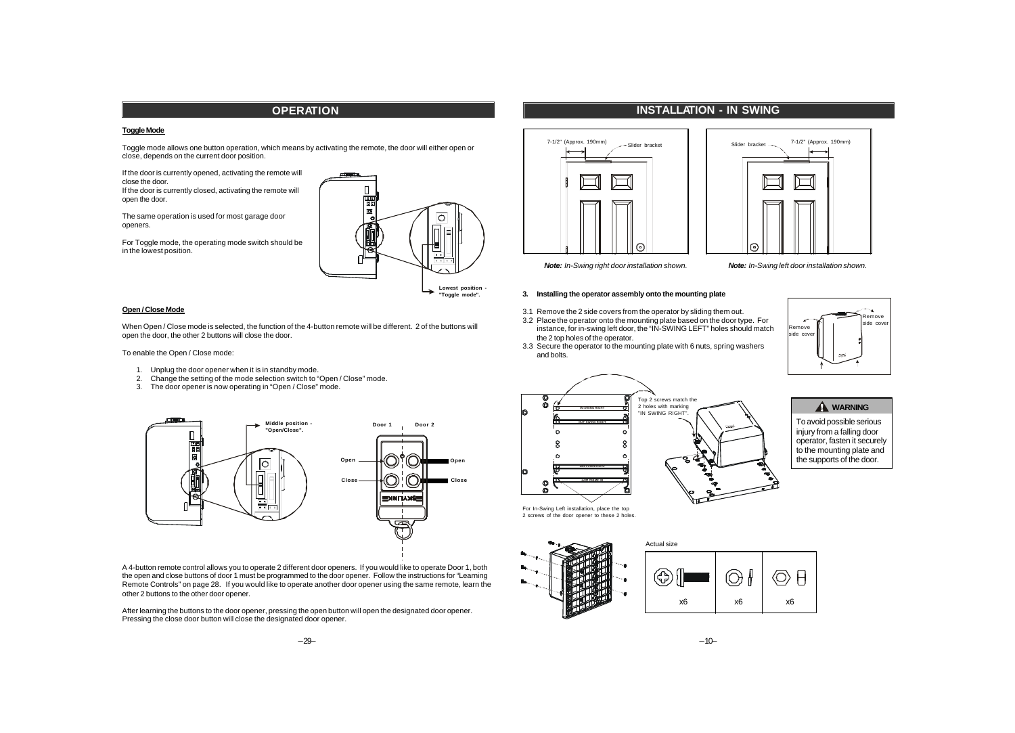# **OPERATION**

## **Toggle Mode**

Toggle mode allows one button operation, which means by activating the remote, the door will either open or close, depends on the current door position.

If the door is currently opened, activating the remote will close the door. If the door is currently closed, activating the remote will open the door.

The same operation is used for most garage door openers.





**"Toggle mode".**

#### **Open / Close Mode**

When Open / Close mode is selected, the function of the 4-button remote will be different. 2 of the buttons will open the door, the other 2 buttons will close the door.

To enable the Open / Close mode:

- 1. Unplug the door opener when it is in standby mode.
- 2. Change the setting of the mode selection switch to "Open / Close" mode.
- 3. The door opener is now operating in "Open / Close" mode.



A 4-button remote control allows you to operate 2 different door openers. If you would like to operate Door 1, both the open and close buttons of door 1 must be programmed to the door opener. Follow the instructions for "Learning Remote Controls" on page 28. If you would like to operate another door opener using the same remote, learn the other 2 buttons to the other door opener.

After learning the buttons to the door opener, pressing the open button will open the designated door opener. Pressing the close door button will close the designated door opener.

# **INSTALLATION - IN SWING**

Slider bracket ---





7-1/2" (Approx. 190mm)

*Note: In-Swing right door installation shown. Note: In-Swing left door installation shown.*

#### **3. Installing the operator assembly onto the mounting plate**

- 3.1 Remove the 2 side covers from the operator by sliding them out.
- 3.2 Place the operator onto the mounting plate based on the door type. For instance, for in-swing left door, the "IN-SWING LEFT" holes should match the 2 top holes of the operator.
- 3.3 Secure the operator to the mounting plate with 6 nuts, spring washers and bolts.





# **A** WARNING

To avoid possible serious injury from a falling door operator, fasten it securely to the mounting plate and the supports of the door.

For In-Swing Left installation, place the top 2 screws of the door opener to these 2 holes.





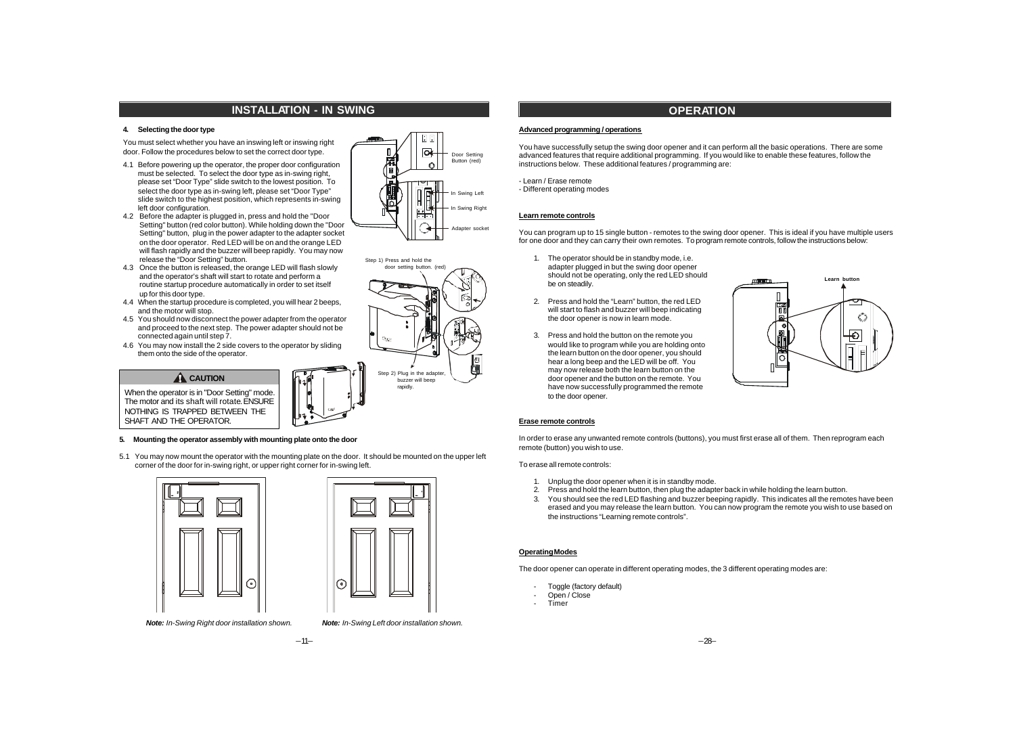# **INSTALLATION - IN SWING**

### **4. Selecting the door type**

You must select whether you have an inswing left or inswing right door. Follow the procedures below to set the correct door type.

- 4.1 Before powering up the operator, the proper door configuration must be selected. To select the door type as in-swing right, please set "Door Type" slide switch to the lowest position. To select the door type as in-swing left, please set "Door Type" slide switch to the highest position, which represents in-swing left door configuration.
- 4.2 Before the adapter is plugged in, press and hold the "Door Setting" button (red color button). While holding down the "Door Setting" button, plug in the power adapter to the adapter socket on the door operator. Red LED will be on and the orange LED will flash rapidly and the buzzer will beep rapidly. You may now release the "Door Setting" button.
- 4.3 Once the button is released, the orange LED will flash slowly and the operator's shaft will start to rotate and perform a routine startup procedure automatically in order to set itself up for this door type.
- 4.4 When the startup procedure is completed, you will hear 2 beeps, and the motor will stop.
- 4.5 You should now disconnect the power adapter from the operator and proceed to the next step. The power adapter should not be connected again until step 7.
- 4.6 You may now install the 2 side covers to the operator by sliding them onto the side of the operator.

### **A** CAUTION

When the operator is in "Door Setting" mode. The motor and its shaft will rotate. ENSURE NOTHING IS TRAPPED BETWEEN THE SHAFT AND THE OPERATOR.

#### **5. Mounting the operator assembly with mounting plate onto the door**

5.1 You may now mount the operator with the mounting plate on the door. It should be mounted on the upper left corner of the door for in-swing right, or upper right corner for in-swing left.





*Note: In-Swing Right door installation shown. Note: In-Swing Left door installation shown.*





# **OPERATION**

#### **Advanced programming / operations**

You have successfully setup the swing door opener and it can perform all the basic operations. There are some advanced features that require additional programming. If you would like to enable these features, follow the instructions below. These additional features / programming are:

- Learn / Erase remote

- Different operating modes

#### **Learn remote controls**

You can program up to 15 single button - remotes to the swing door opener. This is ideal if you have multiple users for one door and they can carry their own remotes. To program remote controls, follow the instructions below:

- 1. The operator should be in standby mode, i.e. adapter plugged in but the swing door opener should not be operating, only the red LED should be on steadily.
- 2. Press and hold the "Learn" button, the red LED will start to flash and buzzer will beep indicating the door opener is now in learn mode.
- 3. Press and hold the button on the remote you would like to program while you are holding onto the learn button on the door opener, you should hear a long beep and the LED will be off. You may now release both the learn button on the door opener and the button on the remote. You have now successfully programmed the remote to the door opener.



#### **Erase remote controls**

In order to erase any unwanted remote controls (buttons), you must first erase all of them. Then reprogram each remote (button) you wish to use.

#### To erase all remote controls:

- 1. Unplug the door opener when it is in standby mode.
- 2. Press and hold the learn button, then plug the adapter back in while holding the learn button.
- 3. You should see the red LED flashing and buzzer beeping rapidly. This indicates all the remotes have been erased and you may release the learn button. You can now program the remote you wish to use based on the instructions "Learning remote controls".

### **Operating Modes**

The door opener can operate in different operating modes, the 3 different operating modes are:

- Toggle (factory default)
- Open / Close
- Timer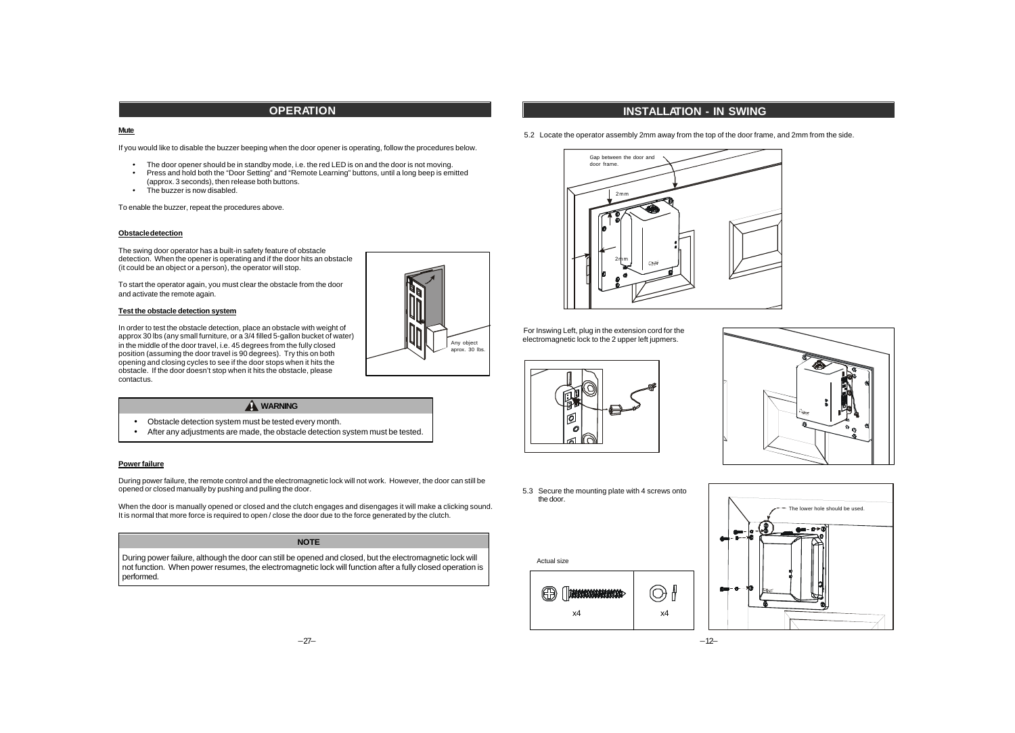# **OPERATION**

#### **Mute**

If you would like to disable the buzzer beeping when the door opener is operating, follow the procedures below.

- The door opener should be in standby mode, i.e. the red LED is on and the door is not moving.<br>• Press and hold both the "Door Setting" and "Remote Learning" buttons, until a long beep is emi-
- Press and hold both the "Door Setting" and "Remote Learning" buttons, until a long beep is emitted (approx. 3 seconds), then release both buttons.
- The buzzer is now disabled.

To enable the buzzer, repeat the procedures above.

### **Obstacle detection**

The swing door operator has a built-in safety feature of obstacle detection. When the opener is operating and if the door hits an obstacle (it could be an object or a person), the operator will stop.

To start the operator again, you must clear the obstacle from the door and activate the remote again.

### **Test the obstacle detection system**

In order to test the obstacle detection, place an obstacle with weight of approx 30 lbs (any small furniture, or a 3/4 filled 5-gallon bucket of water) in the middle of the door travel, i.e. 45 degrees from the fully closed position (assuming the door travel is 90 degrees). Try this on both opening and closing cycles to see if the door stops when it hits the obstacle. If the door doesn't stop when it hits the obstacle, please contact us.

# **A** WARNING

- Obstacle detection system must be tested every month.
- After any adjustments are made, the obstacle detection system must be tested.

### **Power failure**

During power failure, the remote control and the electromagnetic lock will not work. However, the door can still be opened or closed manually by pushing and pulling the door.

When the door is manually opened or closed and the clutch engages and disengages it will make a clicking sound. It is normal that more force is required to open / close the door due to the force generated by the clutch.

### **NOTE**

During power failure, although the door can still be opened and closed, but the electromagnetic lock will not function. When power resumes, the electromagnetic lock will function after a fully closed operation is performed.



# **INSTALLATION - IN SWING**

5.2 Locate the operator assembly 2mm away from the top of the door frame, and 2mm from the side.



For Inswing Left, plug in the extension cord for the electromagnetic lock to the 2 upper left jupmers.





5.3 Secure the mounting plate with 4 screws onto the door.



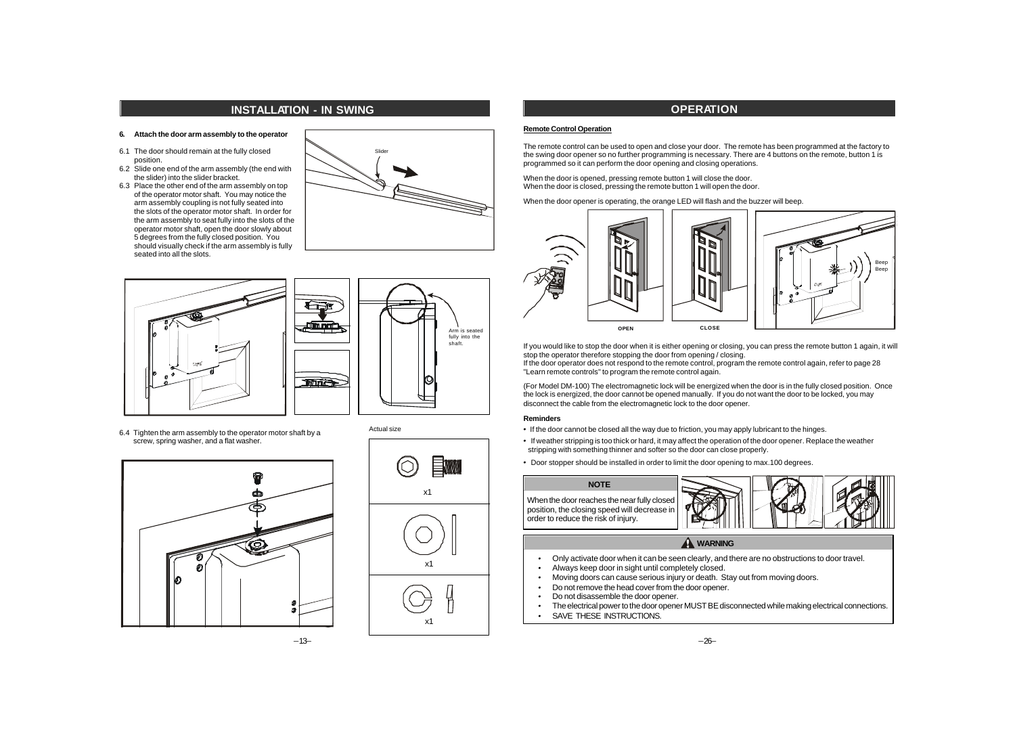# **INSTALLATION - IN SWING**

#### **6. Attach the door arm assembly to the operator**

- 6.1 The door should remain at the fully closed position.
- 6.2 Slide one end of the arm assembly (the end with the slider) into the slider bracket.
- 6.3 Place the other end of the arm assembly on top of the operator motor shaft. You may notice the arm assembly coupling is not fully seated into the slots of the operator motor shaft. In order for the arm assembly to seat fully into the slots of the operator motor shaft, open the door slowly about 5 degrees from the fully closed position. You should visually check if the arm assembly is fully seated into all the slots.





Slider

6.4 Tighten the arm assembly to the operator motor shaft by a screw, spring washer, and a flat washer.





# **OPERATION**

#### **Remote Control Operation**

The remote control can be used to open and close your door. The remote has been programmed at the factory to the swing door opener so no further programming is necessary. There are 4 buttons on the remote, button 1 is programmed so it can perform the door opening and closing operations.

When the door is opened, pressing remote button 1 will close the door. When the door is closed, pressing the remote button 1 will open the door.

When the door opener is operating, the orange LED will flash and the buzzer will beep.



If you would like to stop the door when it is either opening or closing, you can press the remote button 1 again, it will stop the operator therefore stopping the door from opening / closing.

If the door operator does not respond to the remote control, program the remote control again, refer to page 28 "Learn remote controls" to program the remote control again.

(For Model DM-100) The electromagnetic lock will be energized when the door is in the fully closed position. Once the lock is energized, the door cannot be opened manually. If you do not want the door to be locked, you may disconnect the cable from the electromagnetic lock to the door opener.

### **Reminders**

- · If the door cannot be closed all the way due to friction, you may apply lubricant to the hinges.
- · If weather stripping is too thick or hard, it may affect the operation of the door opener. Replace the weather stripping with something thinner and softer so the door can close properly.
- · Door stopper should be installed in order to limit the door opening to max.100 degrees.

**NOTE** When the door reaches the near fully closed position, the closing speed will decrease in order to reduce the risk of injury.



### **A** WARNING

- · Only activate door when it can be seen clearly, and there are no obstructions to door travel.
- · Always keep door in sight until completely closed.
- · Moving doors can cause serious injury or death. Stay out from moving doors.
- Do not remove the head cover from the door opener.<br>• Do not disassemble the door opener
- Do not disassemble the door opener.
- · The electrical power to the door opener MUST BE disconnected while making electrical connections.
	- SAVE THESE INSTRUCTIONS.

–13–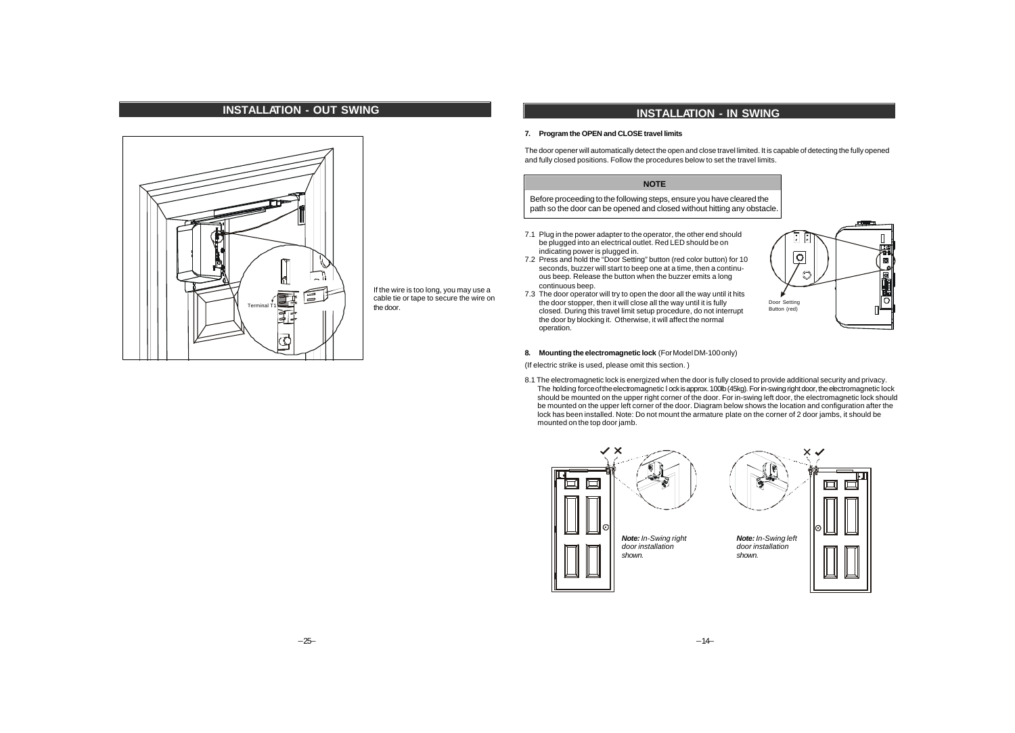

If the wire is too long, you may use a cable tie or tape to secure the wire on the door.

# **INSTALLATION - IN SWING**

### **7. Program the OPEN and CLOSE travel limits**

The door opener will automatically detect the open and close travel limited. It is capable of detecting the fully opened and fully closed positions. Follow the procedures below to set the travel limits.

# **NOTE**

Before proceeding to the following steps, ensure you have cleared the path so the door can be opened and closed without hitting any obstacle.

- 7.1 Plug in the power adapter to the operator, the other end should be plugged into an electrical outlet. Red LED should be on indicating power is plugged in.
- 7.2 Press and hold the "Door Setting" button (red color button) for 10 seconds, buzzer will start to beep one at a time, then a continuous beep. Release the button when the buzzer emits a long continuous beep.
- 7.3 The door operator will try to open the door all the way until it hits the door stopper, then it will close all the way until it is fully closed. During this travel limit setup procedure, do not interrupt the door by blocking it. Otherwise, it will affect the normal operation.



### **8. Mounting the electromagnetic lock** (For Model DM-100 only)

(If electric strike is used, please omit this section. )

8.1 The electromagnetic lock is energized when the door is fully closed to provide additional security and privacy. The holding force of the electromagnetic l ock is approx. 100lb (45kg). For in-swing right door, the electromagnetic lock should be mounted on the upper right corner of the door. For in-swing left door, the electromagnetic lock should be mounted on the upper left corner of the door. Diagram below shows the location and configuration after the lock has been installed. Note: Do not mount the armature plate on the corner of 2 door jambs, it should be mounted on the top door jamb.

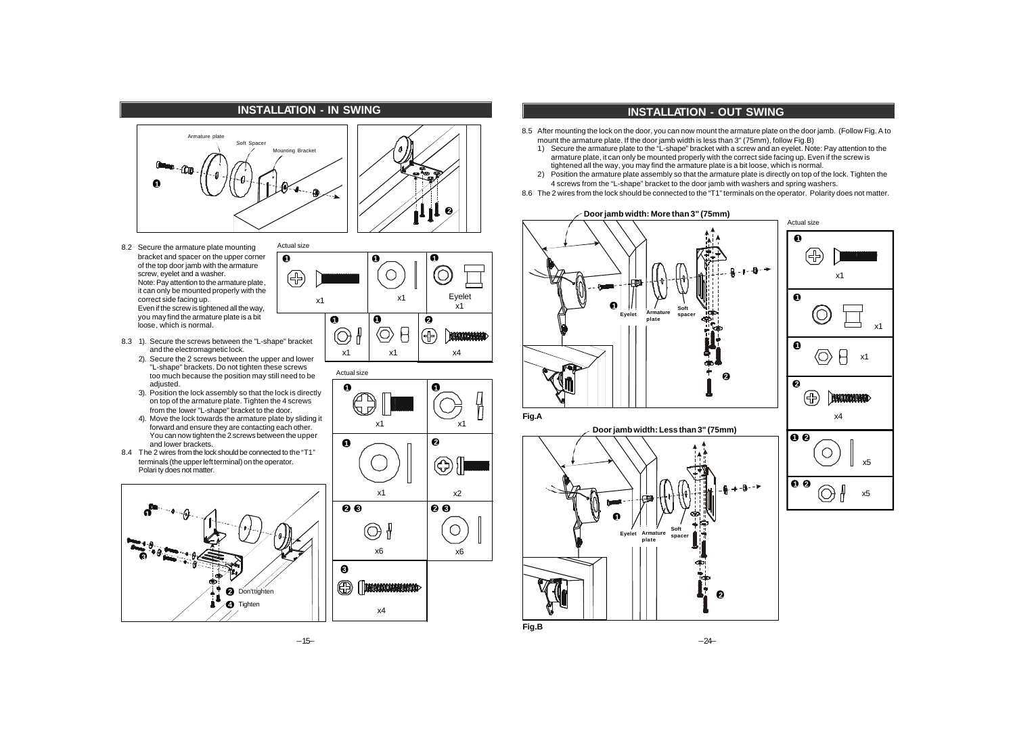

**1**

- 8.2 Secure the armature plate mounting bracket and spacer on the upper corner of the top door jamb with the armature screw, eyelet and a washer. Note: Pay attention to the armature plate, it can only be mounted properly with the correct side facing up. Even if the screw is tightened all the way, you may find the armature plate is a bit loose, which is normal.
- 8.3 1). Secure the screws between the "L-shape" bracket and the electromagnetic lock.
	- 2). Secure the 2 screws between the upper and lower "L-shape" brackets. Do not tighten these screws too much because the position may still need to be adjusted.
	- 3). Position the lock assembly so that the lock is directly on top of the armature plate. Tighten the 4 screws from the lower "L-shape" bracket to the door.
	- 4). Move the lock towards the armature plate by sliding it forward and ensure they are contacting each other. You can now tighten the 2 screws between the upper and lower brackets.
- 8.4 The 2 wires from the lock should be connected to the "T1" terminals (the upper left terminal) on the operator. Polari ty does not matter.







# **INSTALLATION - OUT SWING**

- 8.5 After mounting the lock on the door, you can now mount the armature plate on the door jamb. (Follow Fig. A to mount the armature plate. If the door jamb width is less than 3" (75mm), follow Fig.B)
	- 1) Secure the armature plate to the "L-shape" bracket with a screw and an eyelet. Note: Pay attention to the armature plate, it can only be mounted properly with the correct side facing up. Even if the screw is tightened all the way, you may find the armature plate is a bit loose, which is normal.
	- 2) Position the armature plate assembly so that the armature plate is directly on top of the lock. Tighten the 4 screws from the "L-shape" bracket to the door jamb with washers and spring washers.
- 8.6 The 2 wires from the lock should be connected to the "T1" terminals on the operator. Polarity does not matter.

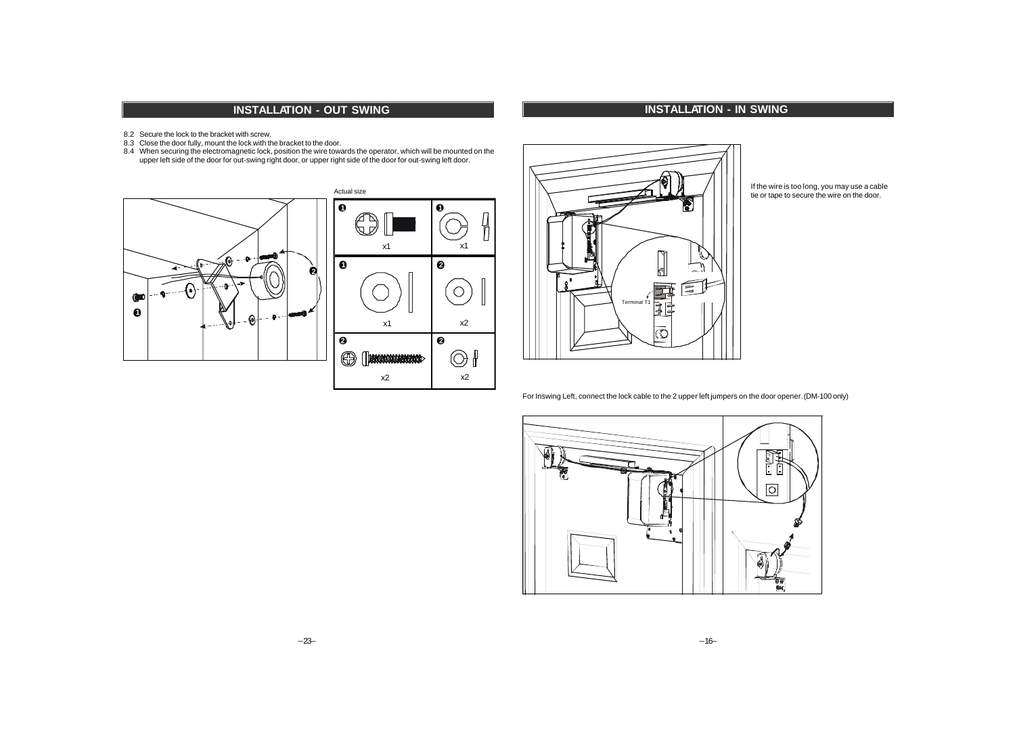- 8.2 Secure the lock to the bracket with screw.
- 8.3 Close the door fully, mount the lock with the bracket to the door.
- 8.4 When securing the electromagnetic lock, position the wire towards the operator, which will be mounted on the upper left side of the door for out-swing right door, or upper right side of the door for out-swing left door.







If the wire is too long, you may use a cable tie or tape to secure the wire on the door.

For Inswing Left, connect the lock cable to the 2 upper left jumpers on the door opener. (DM-100 only)

**INSTALLATION - IN SWING** 

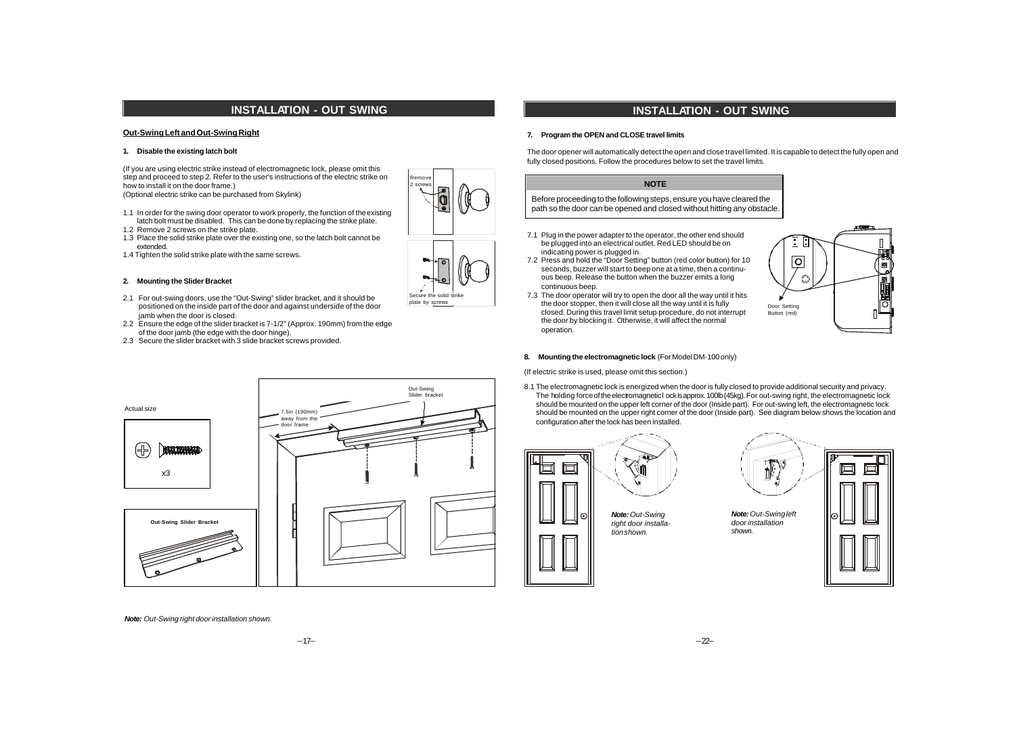### **Out-Swing Left and Out-Swing Right**

### **1. Disable the existing latch bolt**

(If you are using electric strike instead of electromagnetic lock, please omit this step and proceed to step 2. Refer to the user's instructions of the electric strike on how to install it on the door frame.) (Optional electric strike can be purchased from Skylink)

1.1 In order for the swing door operator to work properly, the function of the existing latch bolt must be disabled. This can be done by replacing the strike plate.

- 1.2 Remove 2 screws on the strike plate.
- 1.3 Place the solid strike plate over the existing one, so the latch bolt cannot be extended.
- 1.4 Tighten the solid strike plate with the same screws.

### **2. Mounting the Slider Bracket**

- 2.1 For out-swing doors, use the "Out-Swing" slider bracket, and it should be positioned on the inside part of the door and against underside of the door jamb when the door is closed.
- 2.2 Ensure the edge of the slider bracket is 7-1/2" (Approx. 190mm) from the edge of the door jamb (the edge with the door hinge).
- 2.3 Secure the slider bracket with 3 slide bracket screws provided.



Secure the solid strike plate by screws

Remove 2 screws

# **INSTALLATION - OUT SWING**

#### **7. Program the OPEN and CLOSE travel limits**

The door opener will automatically detect the open and close travel limited. It is capable to detect the fully open and fully closed positions. Follow the procedures below to set the travel limits.

## **NOTE**

Before proceeding to the following steps, ensure you have cleared the path so the door can be opened and closed without hitting any obstacle.

- 7.1 Plug in the power adapter to the operator, the other end should be plugged into an electrical outlet. Red LED should be on indicating power is plugged in.
- 7.2 Press and hold the "Door Setting" button (red color button) for 10 seconds, buzzer will start to beep one at a time, then a continuous beep. Release the button when the buzzer emits a long continuous beep.
- 7.3 The door operator will try to open the door all the way until it hits the door stopper, then it will close all the way until it is fully closed. During this travel limit setup procedure, do not interrupt the door by blocking it. Otherwise, it will affect the normal operation.



#### **8. Mounting the electromagnetic lock** (For Model DM-100 only)

(If electric strike is used, please omit this section.)

8.1 The electromagnetic lock is energized when the door is fully closed to provide additional security and privacy. The holding force of the electromagnetic l ock is approx. 100lb (45kg). For out-swing right, the electromagnetic lock should be mounted on the upper left corner of the door (Inside part). For out-swing left, the electromagnetic lock should be mounted on the upper right corner of the door (Inside part). See diagram below shows the location and configuration after the lock has been installed.



*Note: Out-Swing right door installation shown.*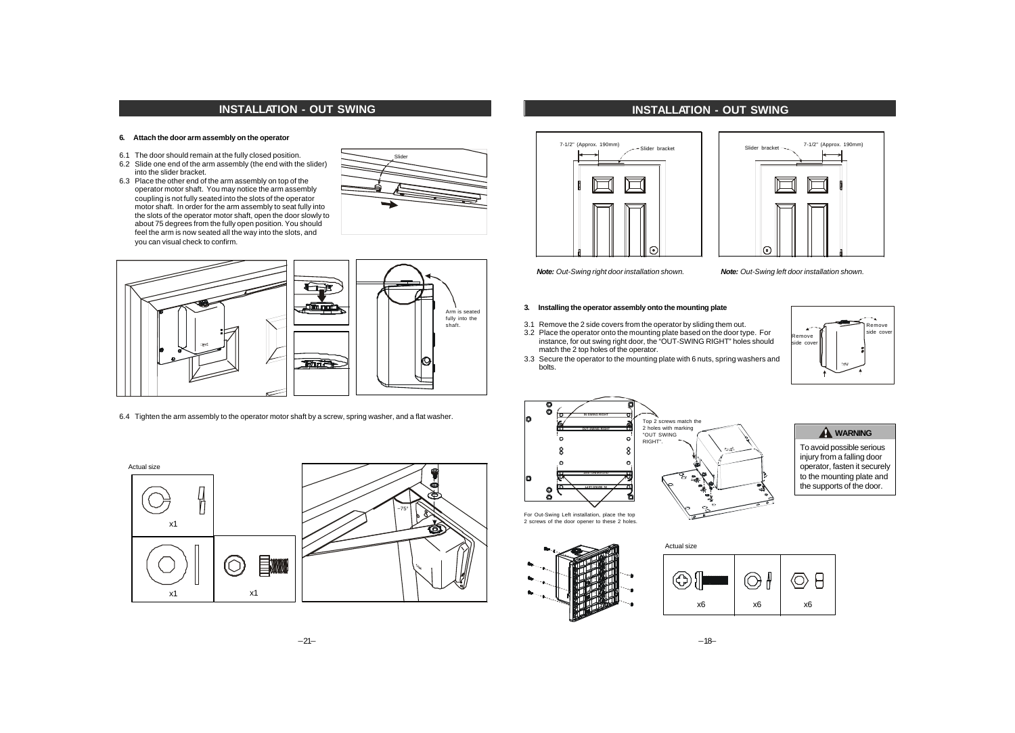### **6. Attach the door arm assembly on the operator**

- 6.1 The door should remain at the fully closed position.
- 6.2 Slide one end of the arm assembly (the end with the slider) into the slider bracket.
- 6.3 Place the other end of the arm assembly on top of the operator motor shaft. You may notice the arm assembly coupling is not fully seated into the slots of the operator motor shaft. In order for the arm assembly to seat fully into the slots of the operator motor shaft, open the door slowly to about 75 degrees from the fully open position. You should feel the arm is now seated all the way into the slots, and you can visual check to confirm.





6.4 Tighten the arm assembly to the operator motor shaft by a screw, spring washer, and a flat washer.



# **INSTALLATION - OUT SWING**





*Note: Out-Swing right door installation shown. Note: Out-Swing left door installation shown.*

### **3. Installing the operator assembly onto the mounting plate**

- 3.1 Remove the 2 side covers from the operator by sliding them out.
- 3.2 Place the operator onto the mounting plate based on the door type. For instance, for out swing right door, the "OUT-SWING RIGHT" holes should match the 2 top holes of the operator.
- 3.3 Secure the operator to the mounting plate with 6 nuts, spring washers and bolts.







To avoid possible serious injury from a falling door operator, fasten it securely to the mounting plate and the supports of the door.